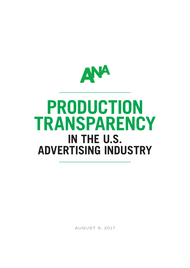

# **PRODUCTION TRANSPARENCY IN THE U.S. ADVERTISING INDUSTRY**

AUGUST 9, 2017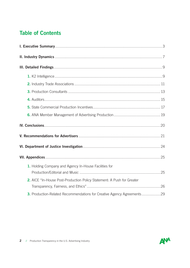# Table of Contents

| 1. Holding Company and Agency In-House Facilities for                  |  |
|------------------------------------------------------------------------|--|
|                                                                        |  |
| 2. AICE "In-House Post-Production Policy Statement: A Push for Greater |  |
|                                                                        |  |
| 3. Production-Related Recommendations for Creative Agency Agreements29 |  |

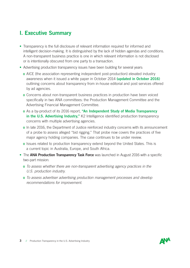- Transparency is the full disclosure of relevant information required for informed and intelligent decision-making. It is distinguished by the lack of hidden agendas and conditions. A non-transparent business practice is one in which relevant information is not disclosed or is intentionally obscured from one party to a transaction.
- Advertising production transparency issues have been building for several years:
	- o AICE (the association representing independent post-production) elevated industry awareness when it issued a white paper in October 2014 (updated in October 2016) outlining concerns about transparency from in-house editorial and post services offered by ad agencies.
	- o Concerns about non-transparent business practices in production have been voiced specifically in two ANA committees: the Production Management Committee and the Advertising Financial Management Committee.
	- o As a by-product of its 2016 report, "An Independent Study of Media Transparency in the U.S. Advertising Industry," K2 Intelligence identified production transparency concerns with multiple advertising agencies.
	- o In late 2016, the Department of Justice reinforced industry concerns with its announcement of a probe to assess alleged "bid rigging." That probe now covers the practices of five major agency holding companies. The case continues to be under review.
	- o Issues related to production transparency extend beyond the United States. This is a current topic in Australia, Europe, and South Africa.
- The **ANA Production Transparency Task Force** was launched in August 2016 with a specific two-part mission:
	- o *To assess whether there are non-transparent advertising agency practices in the U.S. production industry.*
	- o *To assess advertiser advertising production management processes and develop recommendations for improvement.*

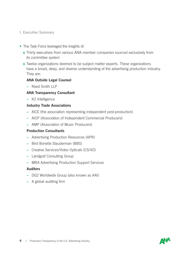- The Task Force leveraged the insights of:
	- o Thirty executives from various ANA member companies sourced exclusively from its committee system
	- o Twelve organizations deemed to be subject matter experts. These organizations have a broad, deep, and diverse understanding of the advertising production industry. They are:

#### ANA Outside Legal Counsel

– Reed Smith LLP

#### ANA Transparency Consultant

– K2 Intelligence

#### Industry Trade Associations

- AICE (the association representing independent post-production)
- AICP (Association of Independent Commercial Producers)
- AMP (Association of Music Producers)

#### Production Consultants

- Advertising Production Resources (APR)
- Bird Bonette Stauderman (BBS)
- Creative Services/Video Opticals (CS/VO)
- Landgraf Consulting Group
- MRA Advertising Production Support Services

#### **Auditors**

- DG2 Worldwide Group (also known as AAI)
- A global auditing firm

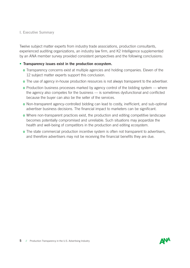Twelve subject matter experts from industry trade associations, production consultants, experienced auditing organizations, an industry law firm, and K2 Intelligence supplemented by an ANA member survey provided consistent perspectives and the following conclusions:

#### • Transparency issues exist in the production ecosystem.

- o Transparency concerns exist at multiple agencies and holding companies. Eleven of the 12 subject matter experts support this conclusion.
- o The use of agency in-house production resources is not always transparent to the advertiser.
- o Production business processes marked by agency control of the bidding system where the agency also competes for the business — is sometimes dysfunctional and conflicted because the buyer can also be the seller of the services.
- o Non-transparent agency-controlled bidding can lead to costly, inefficient, and sub-optimal advertiser business decisions. The financial impact to marketers can be significant.
- o Where non-transparent practices exist, the production and editing competitive landscape becomes potentially compromised and unreliable. Such situations may jeopardize the health and well-being of competitors in the production and editing ecosystem.
- o The state commercial production incentive system is often not transparent to advertisers, and therefore advertisers may not be receiving the financial benefits they are due.

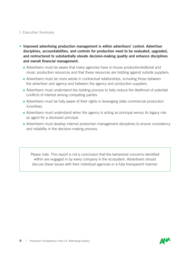- Improved advertising production management is within advertisers' control. Advertiser disciplines, accountabilities, and controls for production need to be evaluated, upgraded, and restructured to substantially elevate decision-making quality and enhance disciplines and overall financial management.
	- o Advertisers must be aware that many agencies have in-house production/editorial and music production resources and that these resources are bidding against outside suppliers.
	- o Advertisers must be more astute in contractual relationships, including those between the advertiser and agency and between the agency and production suppliers.
	- o Advertisers must understand the bidding process to help reduce the likelihood of potential conflicts of interest among competing parties.
	- o Advertisers must be fully aware of their rights in leveraging state commercial production incentives.
	- o Advertisers must understand when the agency is acting as principal versus its legacy role as agent for a disclosed principal.
	- o Advertisers must develop internal production management disciplines to ensure consistency and reliability in the decision-making process.

Please note: This report is not a conclusion that the behavioral concerns identified within are engaged in by every company in the ecosystem. Advertisers should discuss these issues with their individual agencies in a fully transparent manner.

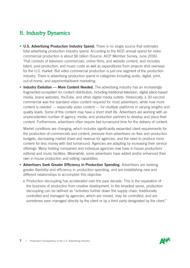# II. Industry Dynamics

- U.S. Advertising Production Industry Spend. There is no single source that estimates total advertising production industry spend. According to the AICP, annual spend for video commercial production is about \$6 billion (Source: AICP Member Survey, June 2016). That consists of television commercials, online films, and website content, and includes talent, post-production, and music costs as well as expenditures from projects shot overseas for the U.S. market. But video commercial production is just one segment of the production industry. There is advertising production spend in categories including audio, digital, print, out-of-home, and experiential/event marketing.
- Industry Evolution More Content Needed. The advertising industry has an increasingly fragmented ecosystem for content distribution, including traditional television, digital place-based media, brand websites, YouTube, and other digital media outlets. Historically, a 30-second commercial was the standard video content required for most advertisers, while now more content is needed — especially video content — for multiple platforms in varying lengths and quality levels. Some of this content may have a short shelf life. Advertisers are working with an unprecedented number of agency, media, and production partners to develop and place their content. Furthermore, advertisers often require fast turnaround time for the delivery of content.

Market conditions are changing, which includes significantly expanded client requirements for the production of commercials and content, pressure from advertisers on fees and production budgets, decreasing market share and revenue for agencies, and the need to produce more content for less money with fast turnaround. Agencies are adapting by increasing their service offerings. Many holding companies and individual agencies now have in-house production/ editorial and music facilities. Meanwhile, some advertisers have added and/or enhanced their own in-house production and editing capabilities.

- Advertisers Seek Greater Efficiency in Production Spending. Advertisers are seeking greater flexibility and efficiency in production spending, and are establishing new and different relationships to accomplish this objective.
	- o Production decoupling has accelerated over the past decade. This is the separation of the business of production from creative development. In the broadest sense, production decoupling can be defined as "activities further down the supply chain, traditionally controlled and managed by agencies, which are moved, may be controlled, and are sometimes even managed directly by the client or by a third party designated by the client."

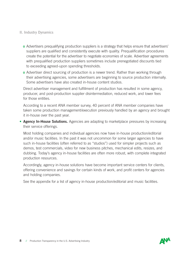#### II. Industry Dynamics

o Advertisers prequalifying production suppliers is a strategy that helps ensure that advertisers' suppliers are qualified and consistently execute with quality. Prequalification procedures create the potential for the advertiser to negotiate economies of scale. Advertiser agreements with prequalified production suppliers sometimes include prenegotiated discounts tied to exceeding agreed-upon spending thresholds.

o Advertiser direct sourcing of production is a newer trend. Rather than working through their advertising agencies, some advertisers are beginning to source production internally. Some advertisers have also created in-house content studios.

• Direct advertiser management and fulfillment of production has resulted in some agency, producer, and post-production supplier disintermediation, reduced work, and lower fees for those entities.

According to a recent ANA member survey, 40 percent of ANA member companies have taken some production management/execution previously handled by an agency and brought it in-house over the past year.

• Agency In-House Solutions. Agencies are adapting to marketplace pressures by increasing their service offerings.

Most holding companies and individual agencies now have in-house production/editorial and/or music facilities. In the past it was not uncommon for some larger agencies to have such in-house facilities (often referred to as "studios") used for simpler projects such as demos, test commercials, video for new business pitches, mechanical edits, resizes, and dubbing. Today's agency in-house facilities are often more robust, with complete integrated production resources.

Accordingly, agency in-house solutions have become important service centers for clients, offering convenience and savings for certain kinds of work, and profit centers for agencies and holding companies.

See the appendix for a list of agency in-house production/editorial and music facilities.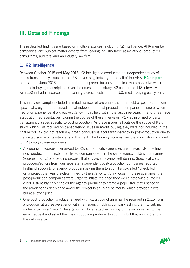These detailed findings are based on multiple sources, including K2 Intelligence, ANA member companies, and subject matter experts from leading industry trade associations, production consultants, auditors, and an industry law firm.

## 1. K2 Intelligence

Between October 2015 and May 2016, K2 Intelligence conducted an independent study of media transparency issues in the U.S. advertising industry on behalf of the ANA. K2's report, published in June 2016, found that non-transparent business practices were pervasive within the media-buying marketplace. Over the course of the study, K2 conducted 143 interviews with 150 individual sources, representing a cross-section of the U.S. media-buying ecosystem.

This interview sample included a limited number of professionals in the field of post-production; specifically, eight producers/editors at independent post-production companies — one of whom had prior experience at a creative agency in this field within the last three years — and three trade association representatives. During the course of these interviews, K2 was informed of certain transparency issues specific to post-production. As these issues fell outside the scope of K2's study, which was focused on transparency issues in media buying, they were not included in the final report. K2 did not reach any broad conclusions about transparency in post-production due to the limited scope of its interviews in this field. The following summarizes the information provided to K2 through these interviews:

- According to sources interviewed by K2, some creative agencies are increasingly directing post-production projects to affiliated companies within the same agency holding companies. Sources told K2 of a bidding process that suggested agency self-dealing. Specifically, six producers/editors from four separate, independent post-production companies reported firsthand accounts of agency producers asking them to submit a so-called "check bid" on a project that was pre-determined by the agency to go in-house. In these scenarios, the post-production companies were urged to inflate the price they would otherwise quote on a bid. Ostensibly, this enabled the agency producer to create a paper trail that justified to the advertiser its decision to award the project to an in-house facility, which provided a rival bid at a lower price.
- One post-production producer shared with K2 a copy of an email he received in 2016 from a producer at a creative agency within an agency holding company asking them to submit a check bid as a "favor." The agency producer attached a copy of the in-house bid to the email request and asked the post-production producer to submit a bid that was higher than the in-house bid.

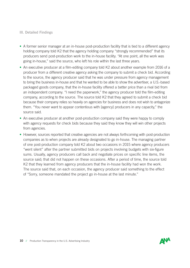- A former senior manager at an in-house post-production facility that is tied to a different agency holding company told K2 that the agency holding company "strongly recommended" that its producers send post-production work to the in-house facility. "At one point, all the work was going in-house," said the source, who left his role within the last three years.
- An executive producer at a film-editing company told K2 about another example from 2016 of a producer from a different creative agency asking the company to submit a check bid. According to the source, the agency producer said that he was under pressure from agency management to bring the business in-house and that he wanted to be able to show the advertiser, a U.S.-based packaged goods company, that the in-house facility offered a better price than a rival bid from an independent company. "I need the paperwork," the agency producer told the film-editing company, according to the source. The source told K2 that they agreed to submit a check bid because their company relies so heavily on agencies for business and does not wish to antagonize them. "You never want to appear contentious with [agency] producers in any capacity," the source said.
- An executive producer at another post-production company said they were happy to comply with agency requests for check bids because they said they know they will win other projects from agencies.
- However, sources reported that creative agencies are not always forthcoming with post-production companies as to when projects are already designated to go in-house. The managing partner of one post-production company told K2 about two occasions in 2015 where agency producers "went silent" after the partner submitted bids on projects involving budgets with six-figure sums. Usually, agency producers call back and negotiate prices on specific line items, the source said; that did not happen on these occasions. After a period of time, the source told K2 that they learned from agency producers that the in-house facility had won the work. The source said that, on each occasion, the agency producer said something to the effect of "Sorry, someone mandated the project go in-house at the last minute."

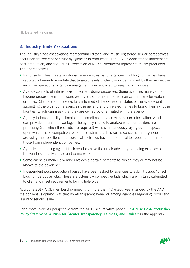## 2. Industry Trade Associations

The industry trade associations representing editorial and music registered similar perspectives about non-transparent behavior by agencies in production. The AICE is dedicated to independent post-production, and the AMP (Association of Music Producers) represents music producers. Their perspectives:

- In-house facilities create additional revenue streams for agencies. Holding companies have reportedly begun to mandate that targeted levels of client work be handled by their respective in-house operations. Agency management is incentivized to keep work in-house.
- Agency conflicts of interest exist in some bidding processes. Some agencies manage the bidding process, which includes getting a bid from an internal agency company for editorial or music. Clients are not always fully informed of the ownership status of the agency unit submitting the bids. Some agencies use generic and unrelated names to brand their in-house facilities, which can mask that they are owned by or affiliated with the agency.
- Agency in-house facility estimates are sometimes created with insider information, which can provide an unfair advantage. The agency is able to analyze what competitors are proposing (i.e., when three bids are required) while simultaneously laying out the specs upon which those competitors base their estimates. This raises concerns that agencies are using their positions to ensure that their bids have the potential to appear superior to those from independent companies.
- Agencies competing against their vendors have the unfair advantage of being exposed to the vendors' creative ideas and demo work.
- Some agencies mark up vendor invoices a certain percentage, which may or may not be known to the advertiser.
- Independent post-production houses have been asked by agencies to submit bogus "check" bids" on particular jobs. These are ostensibly competitive bids which are, in turn, submitted to clients to meet requirements for multiple bids.

At a June 2017 AICE membership meeting of more than 40 executives attended by the ANA, the consensus opinion was that non-transparent behavior among agencies regarding production is a very serious issue.

For a more in-depth perspective from the AICE, see its white paper, "In-House Post-Production Policy Statement: A Push for Greater Transparency, Fairness, and Ethics," in the appendix.

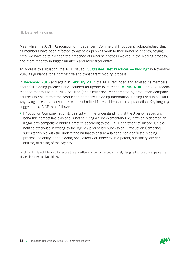Meanwhile, the AICP (Association of Independent Commercial Producers) acknowledged that its members have been affected by agencies pushing work to their in-house entities, saying, "Yes, we have certainly seen the presence of in-house entities involved in the bidding process, and more recently in bigger numbers and more frequently."

To address this situation, the AICP issued "Suggested Best Practices — Bidding" in November 2016 as guidance for a competitive and transparent bidding process.

In December 2016 and again in February 2017, the AICP reminded and advised its members about fair bidding practices and included an update to its model **Mutual NDA**. The AICP recommended that this Mutual NDA be used (or a similar document created by production company counsel) to ensure that the production company's bidding information is being used in a lawful way by agencies and consultants when submitted for consideration on a production. Key language suggested by AICP is as follows:

• [Production Company] submits this bid with the understanding that the Agency is soliciting bona fide competitive bids and is not soliciting a "Complementary Bid,"\* which is deemed an illegal, anti-competitive bidding practice according to the U.S. Department of Justice. Unless notified otherwise in writing by the Agency prior to bid submission, [Production Company] submits this bid with the understanding that to ensure a fair and non-conflicted bidding process, no entity in the bidding pool, directly or indirectly, is a parent, subsidiary, division, affiliate, or sibling of the Agency.

\*A bid which is not intended to secure the advertiser's acceptance but is merely designed to give the appearance of genuine competitive bidding.

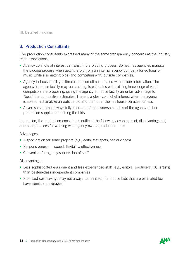## 3. Production Consultants

Five production consultants expressed many of the same transparency concerns as the industry trade associations:

- Agency conflicts of interest can exist in the bidding process. Sometimes agencies manage the bidding process when getting a bid from an internal agency company for editorial or music while also getting bids (and competing with) outside companies.
- Agency in-house facility estimates are sometimes created with insider information. The agency in-house facility may be creating its estimates with existing knowledge of what competitors are proposing, giving the agency in-house facility an unfair advantage to "beat" the competitive estimates. There is a clear conflict of interest when the agency is able to first analyze an outside bid and then offer their in-house services for less.
- Advertisers are not always fully informed of the ownership status of the agency unit or production supplier submitting the bids.

In addition, the production consultants outlined the following advantages of, disadvantages of, and best practices for working with agency-owned production units.

Advantages:

- A good option for some projects (e.g., edits, test spots, social videos)
- Responsiveness speed, flexibility, effectiveness
- Convenient for agency supervision of staff

Disadvantages:

- Less sophisticated equipment and less experienced staff (e.g., editors, producers, CGI artists) than best-in-class independent companies
- Promised cost savings may not always be realized, if in-house bids that are estimated low have significant overages

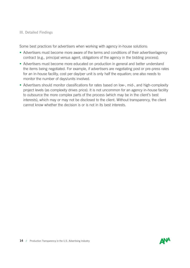Some best practices for advertisers when working with agency in-house solutions:

- Advertisers must become more aware of the terms and conditions of their advertiser/agency contract (e.g., principal versus agent, obligations of the agency in the bidding process).
- Advertisers must become more educated on production in general and better understand the items being negotiated. For example, if advertisers are negotiating post or pre-press rates for an in-house facility, cost per day/per unit is only half the equation; one also needs to monitor the number of days/units involved.
- Advertisers should monitor classifications for rates based on low-, mid-, and high-complexity project levels (as complexity drives price). It is not uncommon for an agency in-house facility to outsource the more complex parts of the process (which may be in the client's best interests), which may or may not be disclosed to the client. Without transparency, the client cannot know whether the decision is or is not in its best interests.

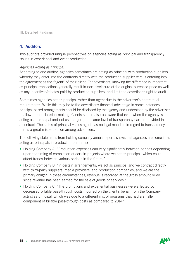### 4. Auditors

Two auditors provided unique perspectives on agencies acting as principal and transparency issues in experiential and event production.

#### *Agencies Acting as Principal*

According to one auditor, agencies sometimes are acting as principal with production suppliers whereby they enter into the contracts directly with the production supplier versus entering into the agreement as the "agent" of their client. For advertisers, knowing the difference is important, as principal transactions generally result in non-disclosure of the original purchase price as well as any incentives/rebates paid by production suppliers, and limit the advertiser's right to audit.

Sometimes agencies act as principal rather than agent due to the advertiser's contractual requirements. While this may be to the advertiser's financial advantage in some instances, principal-based arrangements should be disclosed by the agency and understood by the advertiser to allow proper decision-making. Clients should also be aware that even when the agency is acting as a principal and not as an agent, the same level of transparency can be provided in a contract. The status of principal versus agent has no legal mandate in regard to transparency that is a great misperception among advertisers.

The following statements from holding company annual reports shows that agencies are sometimes acting as principals in production contracts:

- Holding Company A: "Production expenses can vary significantly between periods depending upon the timing of completion of certain projects where we act as principal, which could affect trends between various periods in the future."
- Holding Company B: "In certain arrangements, we act as principal and we contract directly with third-party suppliers, media providers, and production companies, and we are the primary obligor. In these circumstances, revenue is recorded at the gross amount billed since revenue has been earned for the sale of goods or services."
- Holding Company C: "The promotions and experiential businesses were affected by decreased billable pass-through costs incurred on the client's behalf from the Company acting as principal, which was due to a different mix of programs that had a smaller component of billable pass-through costs as compared to 2014."

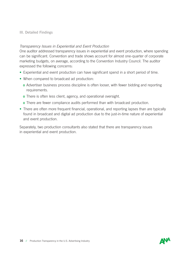#### *Transparency Issues in Experiential and Event Production*

One auditor addressed transparency issues in experiential and event production, where spending can be significant. Convention and trade shows account for almost one-quarter of corporate marketing budgets, on average, according to the Convention Industry Council. The auditor expressed the following concerns:

- Experiential and event production can have significant spend in a short period of time.
- When compared to broadcast ad production:
	- o Advertiser business process discipline is often looser, with fewer bidding and reporting requirements.
	- o There is often less client, agency, and operational oversight.
	- o There are fewer compliance audits performed than with broadcast production.
- There are often more frequent financial, operational, and reporting lapses than are typically found in broadcast and digital ad production due to the just-in-time nature of experiential and event production.

Separately, two production consultants also stated that there are transparency issues in experiential and event production.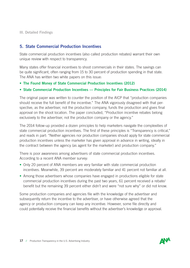## 5. State Commercial Production Incentives

State commercial production incentives (also called production rebates) warrant their own unique review with respect to transparency.

Many states offer financial incentives to shoot commercials in their states. The savings can be quite significant, often ranging from 15 to 30 percent of production spending in that state. The ANA has written two white papers on this issue:

- The Found Money of State Commercial Production Incentives (2012)
- State Commercial Production Incentives Principles for Fair Business Practices (2014)

The original paper was written to counter the position of the AICP that "production companies should receive the full benefit of the incentive." The ANA vigorously disagreed with that perspective, as the advertiser, not the production company, funds the production and gives final approval on the shoot location. The paper concluded, "Production incentive rebates belong exclusively to the advertiser, not the production company or the agency."

The 2014 follow-up provided a dozen principles to help marketers navigate the complexities of state commercial production incentives. The first of these principles is "Transparency is critical," and reads in part: "Neither agencies nor production companies should apply for state commercial production incentives unless the marketer has given approval in advance in writing, ideally in the contract between the agency (as agent for the marketer) and production company."

There is poor awareness among advertisers of state commercial production incentives. According to a recent ANA member survey:

- Only 20 percent of ANA members are very familiar with state commercial production incentives. Meanwhile, 39 percent are moderately familiar and 41 percent not familiar at all.
- Among those advertisers whose companies have engaged in productions eligible for state commercial production incentives during the past two years, 61 percent received a rebate/ benefit but the remaining 39 percent either didn't and were "not sure why" or did not know.

Some production companies and agencies file with the knowledge of the advertiser and subsequently return the incentive to the advertiser, or have otherwise agreed that the agency or production company can keep any incentive. However, some file directly and could potentially receive the financial benefits without the advertiser's knowledge or approval.

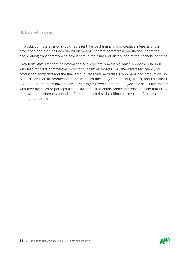In production, the agency should represent the best financial and creative interests of the advertiser, and that includes having knowledge of state commercial production incentives and working transparently with advertisers in the filing and distribution of the financial benefits.

Data from state Freedom of Information Act requests is available which provides details on who filed for state commercial production incentive rebates (i.e., the advertiser, agency, or production company) and the final amount received. Advertisers who have had productions in popular commercial production incentive states (including Connecticut, Illinois, and Louisiana) and are unsure if they have received their rightful rebate are encouraged to discuss this matter with their agencies or perhaps file a FOIA request to obtain rebate information. Note that FOIA data will not customarily include information related to the ultimate allocation of the rebate among the parties.

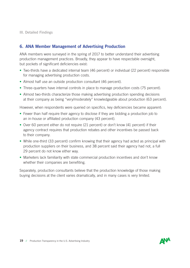## 6. ANA Member Management of Advertising Production

ANA members were surveyed in the spring of 2017 to better understand their advertising production management practices. Broadly, they appear to have respectable oversight, but pockets of significant deficiencies exist:

- Two-thirds have a dedicated internal team (46 percent) or individual (22 percent) responsible for managing advertising production costs.
- Almost half use an outside production consultant (46 percent).
- Three-quarters have internal controls in place to manage production costs (75 percent).
- Almost two-thirds characterize those making advertising production spending decisions at their company as being "very/moderately" knowledgeable about production (63 percent).

However, when respondents were queried on specifics, key deficiencies became apparent:

- Fewer than half require their agency to disclose if they are bidding a production job to an in-house or affiliated production company (43 percent).
- Over 60 percent either do not require (21 percent) or don't know (41 percent) if their agency contract requires that production rebates and other incentives be passed back to their company.
- While one-third (33 percent) confirm knowing that their agency had acted as principal with production suppliers on their business, and 38 percent said their agency had not, a full 29 percent do not know either way.
- Marketers lack familiarity with state commercial production incentives and don't know whether their companies are benefiting.

Separately, production consultants believe that the production knowledge of those making buying decisions at the client varies dramatically, and in many cases is very limited.

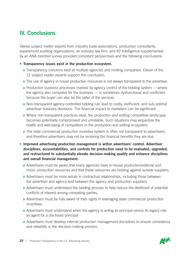# IV. Conclusions

Twelve subject matter experts from industry trade associations, production consultants, experienced auditing organizations, an industry law firm, and K2 Intelligence supplemented by an ANA member survey provided consistent perspectives and the following conclusions:

#### • Transparency issues exist in the production ecosystem.

- o Transparency concerns exist at multiple agencies and holding companies. Eleven of the 12 subject matter experts support this conclusion.
- o The use of agency in-house production resources is not always transparent to the advertiser.
- o Production business processes marked by agency control of the bidding system where the agency also competes for the business — is sometimes dysfunctional and conflicted because the buyer can also be the seller of the services.
- o Non-transparent agency-controlled bidding can lead to costly, inefficient, and sub-optimal advertiser business decisions. The financial impact to marketers can be significant.
- o Where non-transparent practices exist, the production and editing competitive landscape becomes potentially compromised and unreliable. Such situations may jeopardize the health and well-being of competitors in the production and editing ecosystem.
- o The state commercial production incentive system is often not transparent to advertisers, and therefore advertisers may not be receiving the financial benefits they are due.
- Improved advertising production management is within advertisers' control. Advertiser disciplines, accountabilities, and controls for production need to be evaluated, upgraded, and restructured to substantially elevate decision-making quality and enhance disciplines and overall financial management.
	- o Advertisers must be aware that many agencies have in-house production/editorial and music production resources and that these resources are bidding against outside suppliers.
	- o Advertisers must be more astute in contractual relationships, including those between the advertiser and agency and between the agency and production suppliers.
	- o Advertisers must understand the bidding process to help reduce the likelihood of potential conflicts of interest among competing parties.
	- o Advertisers must be fully aware of their rights in leveraging state commercial production incentives.
	- o Advertisers must understand when the agency is acting as principal versus its legacy role as agent for a disclosed principal.
	- o Advertisers must develop internal production management disciplines to ensure consistency and reliability in the decision-making process.

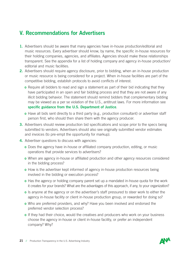## V. Recommendations for Advertisers

- 1. Advertisers should be aware that many agencies have in-house production/editorial and music resources. Every advertiser should know, by name, the specific in-house resources for their holding companies, agencies, and affiliates. Agencies should make these relationships transparent. See the appendix for a list of holding company and agency in-house production/ editorial and music facilities.
- 2. Advertisers should require agency disclosure, prior to bidding, when an in-house production or music resource is being considered for a project. When in-house facilities are part of the competitive bidding, establish protocols to avoid conflicts of interest.
	- o Require all bidders to read and sign a statement as part of their bid indicating that they have participated in an open and fair bidding process and that they are not aware of any illicit bidding behavior. The statement should remind bidders that complementary bidding may be viewed as a per se violation of the U.S., antitrust laws. For more information see specific guidance from the U.S. Department of Justice.
	- o Have all bids sent directly to a third party (e.g., production consultant) or advertiser staff person first, who should then share them with the agency producer.
- **3.** Advertisers should review production bid specifications and scope prior to the specs being submitted to vendors. Advertisers should also see originally submitted vendor estimates and invoices (to pre-empt the opportunity for markup).
- 4. Advertiser questions to discuss with agencies:
	- o Does the agency have in-house or affiliated company production, editing, or music operations that provide services to advertisers?
	- o When are agency in-house or affiliated production and other agency resources considered in the bidding process?
	- o How is the advertiser kept informed of agency in-house production resources being involved in the bidding or execution process?
	- o Has the agency or holding company parent set up a mandated in-house quota for the work it creates for your brands? What are the advantages of this approach, if any, to your organization?
	- o Is anyone at the agency or on the advertiser's staff pressured to steer work to either the agency in-house facility or client in-house production group, or rewarded for doing so?
	- o Who are preferred providers, and why? Have you been involved and endorsed the preferred vendor selection process?
	- o If they had their choice, would the creatives and producers who work on your business choose the agency in-house or client in-house facility, or prefer an independent company? Why?

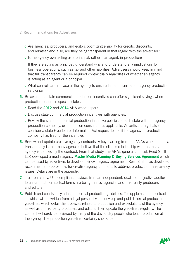- V. Recommendations for Advertisers
	- o Are agencies, producers, and editors optimizing eligibility for credits, discounts, and rebates? And if so, are they being transparent in that regard with the advertiser?
	- o Is the agency ever acting as a principal, rather than agent, in production?

If they are acting as principal, understand why and understand any implications for business operations, such as tax and other liabilities. Advertisers should keep in mind that full transparency can be required contractually regardless of whether an agency is acting as an agent or a principal.

- o What controls are in place at the agency to ensure fair and transparent agency production servicing?
- **5.** Be aware that state commercial production incentives can offer significant savings when production occurs in specific states.
	- o Read the 2012 and 2014 ANA white papers.
	- o Discuss state commercial production incentives with agencies.
	- o Review the state commercial production incentive policies of each state with the agency, production company, or production consultant as applicable. Advertisers might also consider a state Freedom of Information Act request to see if the agency or production company has filed for the incentive.
- 6. Review and update creative agency contracts. A key learning from the ANA's work on media transparency is that many agencies believe that the client's relationship with the media agency is defined by the contract. From that study, the ANA's general counsel, Reed Smith LLP, developed a media agency **Master Media Planning & Buying Services Agreement** which can be used by advertisers to develop their own agency agreement. Reed Smith has developed recommended approaches for creative agency contracts to address production transparency issues. Details are in the appendix.
- **7.** Trust but verify. Use compliance reviews from an independent, qualified, objective auditor to ensure that contractual terms are being met by agencies and third-party producers and editors.
- 8. Publish and consistently adhere to formal production guidelines. To supplement the contract — which will be written from a legal perspective — develop and publish formal production guidelines which detail client policies related to production and expectations of the agency as well as of third-party producers and editors. Then update the guidelines regularly. The contract will rarely be reviewed by many of the day-to-day people who touch production at the agency. The production guidelines certainly should be.

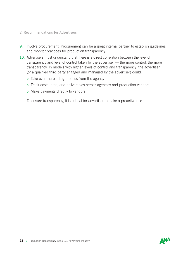- V. Recommendations for Advertisers
- **9.** Involve procurement. Procurement can be a great internal partner to establish guidelines and monitor practices for production transparency.
- 10. Advertisers must understand that there is a direct correlation between the level of transparency and level of control taken by the advertiser — the more control, the more transparency. In models with higher levels of control and transparency, the advertiser (or a qualified third party engaged and managed by the advertiser) could:
	- **o** Take over the bidding process from the agency
	- o Track costs, data, and deliverables across agencies and production vendors
	- **o** Make payments directly to vendors

To ensure transparency, it is critical for advertisers to take a proactive role.

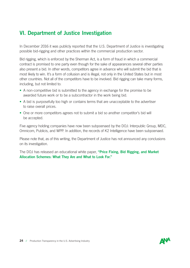## VI. Department of Justice Investigation

In December 2016 it was publicly reported that the U.S. Department of Justice is investigating possible bid-rigging and other practices within the commercial production sector.

Bid rigging, which is enforced by the Sherman Act, is a form of fraud in which a commercial contract is promised to one party even though for the sake of appearances several other parties also present a bid. In other words, competitors agree in advance who will submit the bid that is most likely to win. It's a form of collusion and is illegal, not only in the United States but in most other countries. Not all of the competitors have to be involved. Bid rigging can take many forms, including, but not limited to:

- A non-competitive bid is submitted to the agency in exchange for the promise to be awarded future work or to be a subcontractor in the work being bid.
- A bid is purposefully too high or contains terms that are unacceptable to the advertiser to raise overall prices.
- One or more competitors agrees not to submit a bid so another competitor's bid will be accepted.

Five agency holding companies have now been subpoenaed by the DOJ: Interpublic Group, MDC, Omnicom, Publicis, and WPP. In addition, the records of K2 Intelligence have been subpoenaed.

Please note that, as of this writing, the Department of Justice has not announced any conclusions on its investigation.

The DOJ has released an educational white paper, "Price Fixing, Bid Rigging, and Market Allocation Schemes: What They Are and What to Look For."

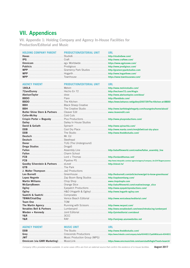## VII. Appendices

VII. Appendix 1: Holding Company and Agency In-House Facilities for Production/Editorial and Music

| <b>HOLDING COMPANY PARENT</b> | <b>PRODUCTION/EDITORIAL UNIT</b>                                | URL        |
|-------------------------------|-----------------------------------------------------------------|------------|
|                               |                                                                 |            |
|                               |                                                                 |            |
|                               |                                                                 |            |
|                               |                                                                 |            |
|                               |                                                                 |            |
|                               |                                                                 |            |
|                               |                                                                 |            |
|                               |                                                                 |            |
| <b>AGENCY PARENT</b>          | <b>PRODUCTION/EDITORIAL UNIT</b>                                | <b>URL</b> |
|                               |                                                                 |            |
|                               |                                                                 |            |
|                               |                                                                 |            |
|                               |                                                                 |            |
|                               |                                                                 |            |
|                               |                                                                 |            |
|                               |                                                                 |            |
|                               |                                                                 |            |
|                               |                                                                 |            |
|                               |                                                                 |            |
|                               |                                                                 |            |
|                               |                                                                 |            |
|                               |                                                                 |            |
|                               |                                                                 |            |
|                               |                                                                 |            |
|                               |                                                                 |            |
|                               |                                                                 |            |
|                               |                                                                 |            |
|                               |                                                                 |            |
|                               |                                                                 |            |
|                               |                                                                 |            |
|                               |                                                                 |            |
|                               |                                                                 |            |
|                               |                                                                 |            |
|                               |                                                                 |            |
|                               |                                                                 |            |
|                               |                                                                 |            |
|                               |                                                                 |            |
|                               |                                                                 |            |
|                               |                                                                 |            |
|                               |                                                                 |            |
| Saatchi & Saatchi Comprades   |                                                                 |            |
|                               |                                                                 |            |
|                               |                                                                 |            |
|                               | The Martin Agency Running with Scissors http://www.rwspost.com/ |            |
|                               |                                                                 |            |
|                               |                                                                 |            |
|                               |                                                                 |            |
|                               |                                                                 |            |
|                               |                                                                 |            |
| <b>AGENCY PARENT</b>          | <b>MUSIC UNIT</b>                                               | <b>URL</b> |
|                               |                                                                 |            |
|                               |                                                                 |            |
|                               |                                                                 |            |
|                               |                                                                 |            |

*Company URLs provided where available. In some cases URLs are from an external source that confirm the existence of in-house facilities.* **August 2017**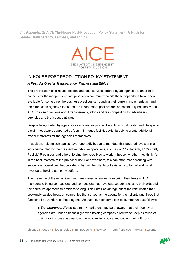VII. Appendix 2: AICE "In-House Post-Production Policy Statement: A Push for Greater Transparency, Fairness, and Ethics"



#### IN-HOUSE POST PRODUCTION POLICY STATEMENT

#### *A Push for Greater Transparency, Fairness and Ethics*

The proliferation of in-house editorial and post services offered by ad agencies is an area of concern for the independent post production community. While these capabilities have been available for some time, the business practices surrounding their current implementation and their impact on agency clients and the independent post production community has motivated AICE to raise questions about transparency, ethics and fair competition for advertisers, agencies and the industry at large.

Despite being touted by agencies as efficient ways to edit and finish work faster and cheaper – a claim not always supported by facts – in-house facilities exist largely to create additional revenue streams for the agencies themselves.

In addition, holding companies have reportedly begun to mandate that targeted levels of client work be handled by their respective in-house operations, such as WPP's Hogarth, IPG's Craft, Publicis' Prodigious and others, forcing their creatives to work in-house, whether they think it's in the best interests of the project or not. For advertisers, this can often mean working with second-tier operations that provide no bargain for clients but exist only to funnel additional revenue to holding company coffers.

The presence of these facilities has transformed agencies from being the clients of AICE members to being competitors, and competitors that have gatekeeper access to their bids and their creative approach to problem-solving. This unfair advantage alters the relationship that previously existed between companies that served as the agents for their clients and those that functioned as vendors to those agents. As such, our concerns can be summarized as follows:

■ *Transparency*: We believe many marketers may be unaware that their agency or agencies are under a financially-driven holding company directive to keep as much of their work in-house as possible, thereby limiting choice and cutting them off from

chicago  $\Box$  detroit  $\Box$  los angeles  $\Box$  minneapolis  $\Box$  new york  $\Box$  san francisco  $\Box$  texas  $\Box$  toronto

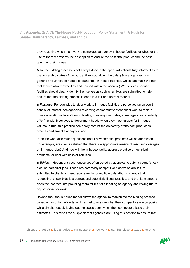VII. Appendix 2: AICE "In-House Post-Production Policy Statement: A Push for Greater Transparency, Fairness, and Ethics"

> they're getting when their work is completed at agency in-house facilities, or whether the use of them represents the best option to ensure the best final product and the best talent for their money.

> Also, the bidding process is not always done in the open, with clients fully informed as to the ownership status of the post entities submitting the bids. (Some agencies use generic and unrelated names to brand their in-house facilities, which can mask the fact that they're wholly owned by and housed within the agency.) We believe in-house facilities should clearly identify themselves as such when bids are submitted to help ensure that the bidding process is done in a fair and upfront manner.

> ■ **Fairness**: For agencies to steer work to in-house facilities is perceived as an overt conflict of interest. Are agencies rewarding senior staff to steer client work to their inhouse operations? In addition to holding company mandates, some agencies reportedly offer financial incentives to department heads when they meet targets for in-house volume. If true, this practice can easily corrupt the objectivity of the post production process and smacks of pay for play.

In-house work also raises questions about how potential problems will be addressed. For example, are clients satisfied that there are appropriate means of resolving overages on in-house jobs? And how will the in-house facility address creative or technical problems, or deal with risks or liabilities?

■ **Ethics**: Independent post houses are often asked by agencies to submit bogus 'check bids' on particular jobs. These are ostensibly competitive bids which are in turn submitted to clients to meet requirements for multiple bids. AICE contends that requesting 'check bids' is a corrupt and potentially illegal practice, and that its members often feel coerced into providing them for fear of alienating an agency and risking future opportunities for work.

Beyond that, the in-house model allows the agency to manipulate the bidding process based on an unfair advantage: They get to analyze what their competitors are proposing while simultaneously laying out the specs upon which their competitors base their estimates. This raises the suspicion that agencies are using this position to ensure that

chicago  $\Box$  detroit  $\Box$  los angeles  $\Box$  minneapolis  $\Box$  new york  $\Box$  san francisco  $\Box$  texas  $\Box$  toronto

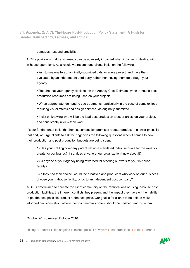VII. Appendix 2: AICE "In-House Post-Production Policy Statement: A Push for Greater Transparency, Fairness, and Ethics"

#### damages trust and credibility.

AICE's position is that transparency can be adversely impacted when it comes to dealing with in-house operations. As a result, we recommend clients insist on the following:

• Ask to see unaltered, originally-submitted bids for every project, and have them evaluated by an independent third party rather than having them go through your agency.

ƒ Require that your agency disclose, on the Agency Cost Estimate, when in-house post production resources are being used on your projects.

• When appropriate, demand to see treatments (particularly in the case of complex jobs requiring visual effects and design services) as originally submitted.

. Insist on knowing who will be the lead post production artist or artists on your project, and consistently review their work.

It's our fundamental belief that honest competition promises a better product at a lower price. To that end, we urge clients to ask their agencies the following questions when it comes to how their production and post production budgets are being spent:

1) Has your holding company parent set up a mandated in-house quota for the work you create for our brands? If so, does anyone at our organization know about it?

2) Is anyone at your agency being rewarded for steering our work to your in-house facility?

3) If they had their choice, would the creatives and producers who work on our business choose your in-house facility, or go to an independent post company?

AICE is determined to educate the client community on the ramifications of using in-house post production facilities, the inherent conflicts they present and the impact they have on their ability to get the best possible product at the best price. Our goal is for clients to be able to make informed decisions about where their commercial content should be finished, and by whom.

October 2014 / revised October 2016

chicago  $\Box$  detroit  $\Box$  los angeles  $\Box$  minneapolis  $\Box$  new york  $\Box$  san francisco  $\Box$  texas  $\Box$  toronto

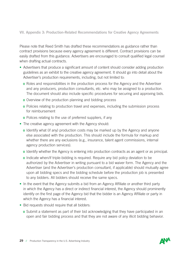#### VII. Appendix 3: Production-Related Recommendations for Creative Agency Agreements

Please note that Reed Smith has drafted these recommendations as guidance rather than contract provisions because every agency agreement is different. Contract provisions can be easily drafted from this guidance. Advertisers are encouraged to consult qualified legal counsel when drafting actual contracts.

- Advertisers that produce a significant amount of content should consider adding production guidelines as an exhibit to the creative agency agreement. It should go into detail about the Advertiser's production requirements, including, but not limited to:
	- o Roles and responsibilities in the production process for the Agency and the Advertiser and any producers, production consultants, etc. who may be assigned to a production. The document should also include specific procedures for securing and approving bids.
	- o Overview of the production planning and bidding process
	- o Policies relating to production travel and expenses, including the submission process for reimbursement
	- o Polices relating to the use of preferred suppliers, if any
- The creative agency agreement with the Agency should:
	- o Identify what (if any) production costs may be marked up by the Agency and anyone else associated with the production. This should include the formula for markup and whether there are any exclusions (e.g., insurance, talent agent commissions, internal agency production services).
	- o Identify whether the Agency is entering into production contracts as an agent or as principal.
	- o Indicate when/if triple-bidding is required. Require any bid policy deviation to be authorized by the Advertiser in writing pursuant to a bid waiver form. The Agency and the Advertiser (and the Advertiser's production consultant, if applicable) should mutually agree upon all bidding specs and the bidding schedule before the production job is presented to any bidders. All bidders should receive the same specs.
- In the event that the Agency submits a bid from an Agency Affiliate or another third party in which the Agency has a direct or indirect financial interest, the Agency should prominently identify on the first page of the Agency bid that the bidder is an Agency Affiliate or party in which the Agency has a financial interest.
- Bid requests should require that all bidders:
	- o Submit a statement as part of their bid acknowledging that they have participated in an open and fair bidding process and that they are not aware of any illicit bidding behavior.

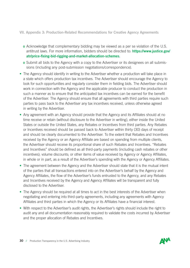#### VII. Appendix 3: Production-Related Recommendations for Creative Agency Agreements

- o Acknowledge that complementary bidding may be viewed as a per se violation of the U.S. antitrust laws. For more information, bidders should be directed to: https://www.justice.gov/ atr/price-fixing-bid-rigging-and-market-allocation-schemes.
- o Submit all bids to the Agency with a copy to the Advertiser or its designees on all submissions (including any post-submission negotiations/correspondence).
- The Agency should identify in writing to the Advertiser whether a production will take place in a state which offers production tax incentives. The Advertiser should encourage the Agency to look for such opportunities and regularly consider them in fielding bids. The Advertiser should work in connection with the Agency and the applicable producer to conduct the production in such a manner as to ensure that the anticipated tax incentives can be earned for the benefit of the Advertiser. The Agency should ensure that all agreements with third parties require such parties to pass back to the Advertiser any tax incentives received, unless otherwise agreed in writing by the Advertiser.
- Any agreement with an Agency should provide that the Agency and its Affiliates should at no time receive or retain (without disclosure to the Advertiser in writing), either inside the United States or outside the United States, any Rebates or Incentives from third parties. Any Rebates or Incentives received should be passed back to Advertiser within thirty (30) days of receipt and should be clearly documented to the Advertiser. To the extent that Rebates and Incentives received by the Agency or an Agency Affiliate are based on spending from multiple clients, the Advertiser should receive its proportional share of such Rebates and Incentives. "Rebates and Incentives" should be defined as all third-party payments (including cash rebates or other incentives); volume discounts; or other items of value received by Agency or Agency Affiliates, in whole or in part, as a result of the Advertiser's spending with the Agency or Agency Affiliates.
- The agreement between the Agency and the Advertiser should state that it is the mutual intent of the parties that all transactions entered into on the Advertiser's behalf by the Agency and Agency Affiliates, the flow of the Advertiser's funds entrusted to the Agency, and any Rebates and Incentives received by the Agency and Agency Affiliates will be transparent and fully disclosed to the Advertiser.
- The Agency should be required at all times to act in the best interests of the Advertiser when negotiating and entering into third-party agreements, including any agreements with Agency Affiliates and third parties in which the Agency or its Affiliates have a financial interest.
- With respect to the Advertiser's audit rights, the Advertiser's rights should include the right to audit any and all documentation reasonably required to validate the costs incurred by Advertiser and the proper allocation of Rebates and Incentives.